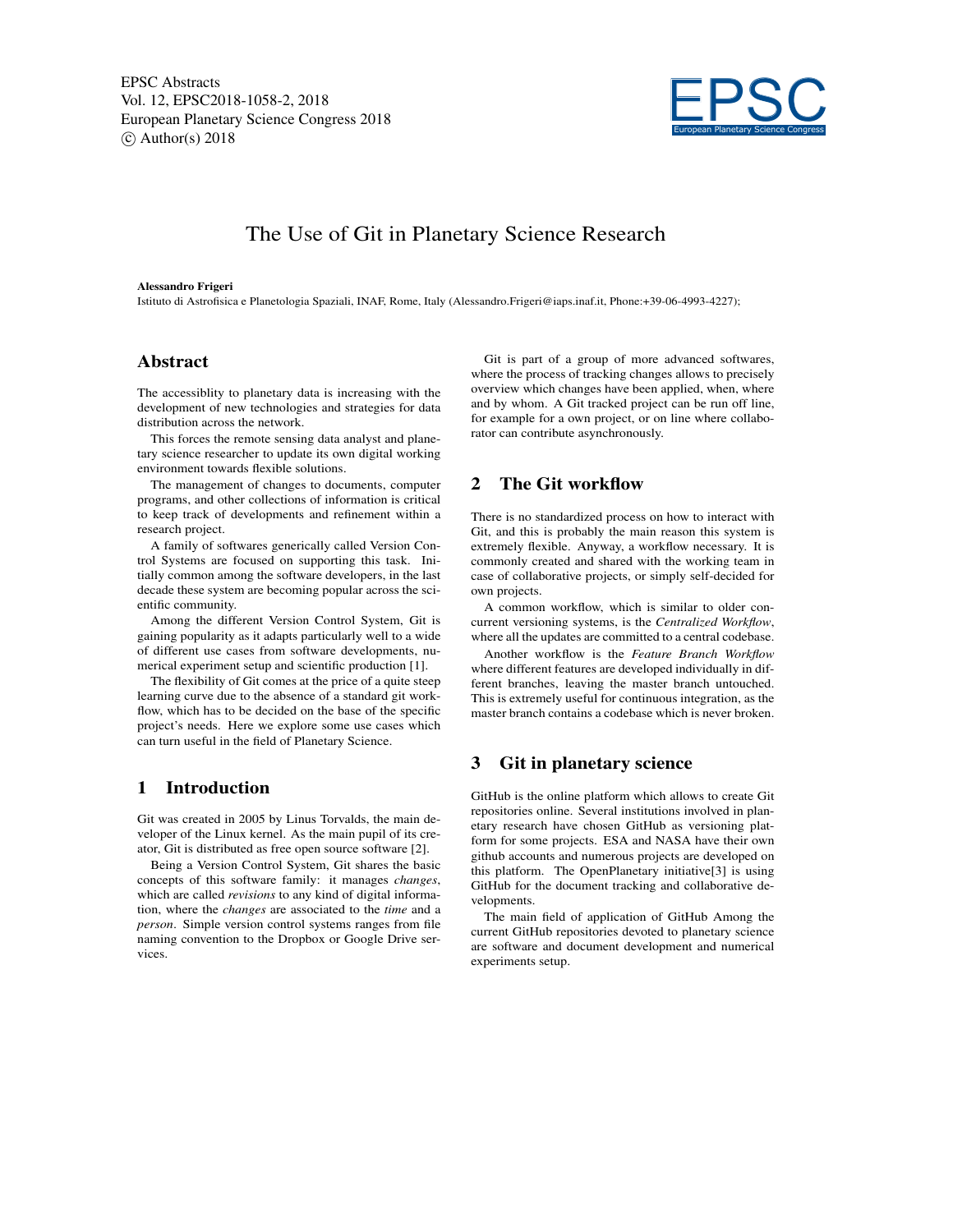

# The Use of Git in Planetary Science Research

#### Alessandro Frigeri

Istituto di Astrofisica e Planetologia Spaziali, INAF, Rome, Italy (Alessandro.Frigeri@iaps.inaf.it, Phone:+39-06-4993-4227);

#### Abstract

The accessiblity to planetary data is increasing with the development of new technologies and strategies for data distribution across the network.

This forces the remote sensing data analyst and planetary science researcher to update its own digital working environment towards flexible solutions.

The management of changes to documents, computer programs, and other collections of information is critical to keep track of developments and refinement within a research project.

A family of softwares generically called Version Control Systems are focused on supporting this task. Initially common among the software developers, in the last decade these system are becoming popular across the scientific community.

Among the different Version Control System, Git is gaining popularity as it adapts particularly well to a wide of different use cases from software developments, numerical experiment setup and scientific production [1].

The flexibility of Git comes at the price of a quite steep learning curve due to the absence of a standard git workflow, which has to be decided on the base of the specific project's needs. Here we explore some use cases which can turn useful in the field of Planetary Science.

### 1 Introduction

Git was created in 2005 by Linus Torvalds, the main developer of the Linux kernel. As the main pupil of its creator, Git is distributed as free open source software [2].

Being a Version Control System, Git shares the basic concepts of this software family: it manages *changes*, which are called *revisions* to any kind of digital information, where the *changes* are associated to the *time* and a *person*. Simple version control systems ranges from file naming convention to the Dropbox or Google Drive services.

Git is part of a group of more advanced softwares, where the process of tracking changes allows to precisely overview which changes have been applied, when, where and by whom. A Git tracked project can be run off line, for example for a own project, or on line where collaborator can contribute asynchronously.

### 2 The Git workflow

There is no standardized process on how to interact with Git, and this is probably the main reason this system is extremely flexible. Anyway, a workflow necessary. It is commonly created and shared with the working team in case of collaborative projects, or simply self-decided for own projects.

A common workflow, which is similar to older concurrent versioning systems, is the *Centralized Workflow*, where all the updates are committed to a central codebase.

Another workflow is the *Feature Branch Workflow* where different features are developed individually in different branches, leaving the master branch untouched. This is extremely useful for continuous integration, as the master branch contains a codebase which is never broken.

### 3 Git in planetary science

GitHub is the online platform which allows to create Git repositories online. Several institutions involved in planetary research have chosen GitHub as versioning platform for some projects. ESA and NASA have their own github accounts and numerous projects are developed on this platform. The OpenPlanetary initiative[3] is using GitHub for the document tracking and collaborative developments.

The main field of application of GitHub Among the current GitHub repositories devoted to planetary science are software and document development and numerical experiments setup.